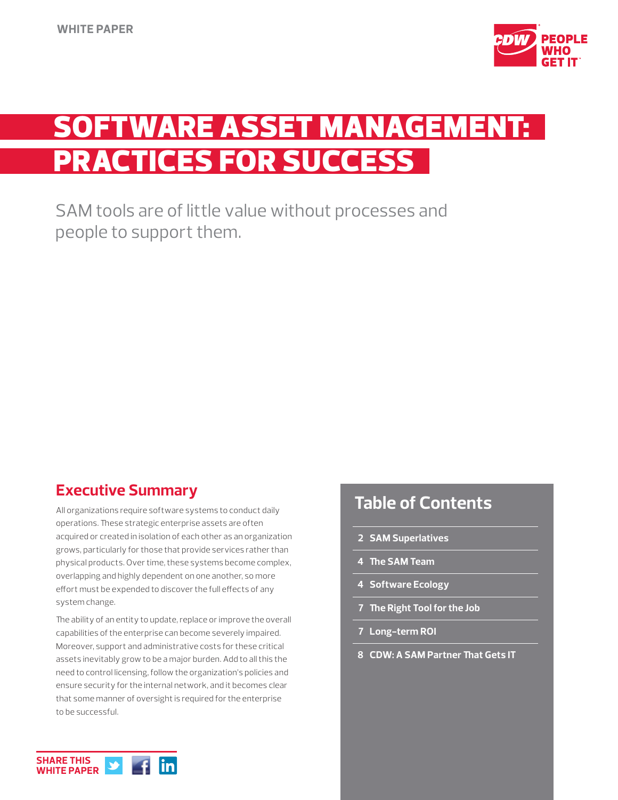

# **SOFTWARE ASSET MANAGEMENT:** PRACTICES FOR SUCCESS

SAM tools are of little value without processes and people to support them.

# **Executive Summary**

All organizations require software systems to conduct daily operations. These strategic enterprise assets are often acquired or created in isolation of each other as an organization grows, particularly for those that provide services rather than physical products. Over time, these systems become complex, overlapping and highly dependent on one another, so more effort must be expended to discover the full effects of any system change.

The ability of an entity to update, replace or improve the overall capabilities of the enterprise can become severely impaired. Moreover, support and administrative costs for these critical assets inevitably grow to be a major burden. Add to all this the need to control licensing, follow the organization's policies and ensure security for the internal network, and it becomes clear that some manner of oversight is required for the enterprise to be successful.

# **Table of Contents**

- **2 SAM Superlatives**
- **4 The SAM Team**
- **4 Software Ecology**
- **7 The Right Tool for the Job**
- **7 Long-term ROI**
- **8 CDW: A SAM Partner That Gets IT**

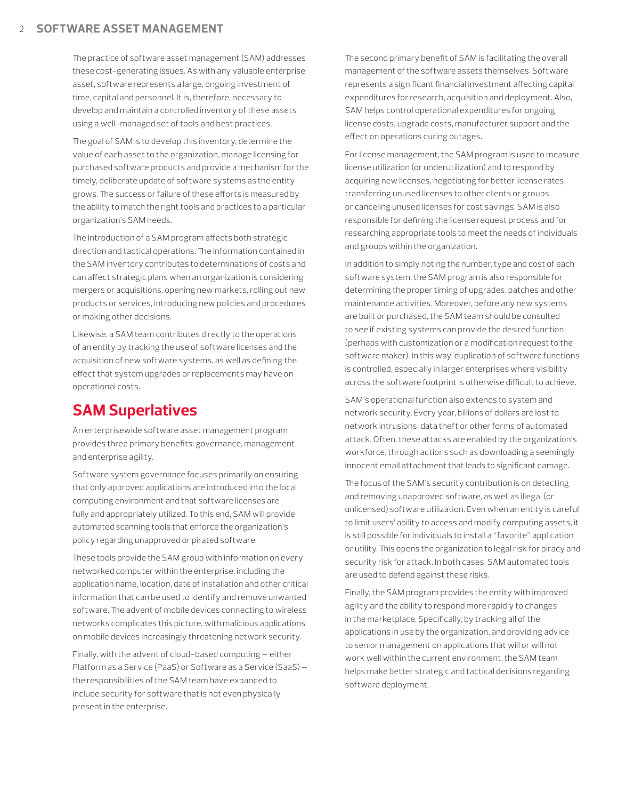#### 2 **SOFTWARE ASSET MANAGEMENT**

The practice of software asset management (SAM) addresses these cost-generating issues. As with any valuable enterprise asset, software represents a large, ongoing investment of time, capital and personnel. It is, therefore, necessary to develop and maintain a controlled inventory of these assets using a well-managed set of tools and best practices.

The goal of SAM is to develop this inventory, determine the value of each asset to the organization, manage licensing for purchased software products and provide a mechanism for the timely, deliberate update of software systems as the entity grows. The success or failure of these efforts is measured by the ability to match the right tools and practices to a particular organization's SAM needs.

The introduction of a SAM program affects both strategic direction and tactical operations. The information contained in the SAM inventory contributes to determinations of costs and can affect strategic plans when an organization is considering mergers or acquisitions, opening new markets, rolling out new products or services, introducing new policies and procedures or making other decisions.

Likewise, a SAM team contributes directly to the operations of an entity by tracking the use of software licenses and the acquisition of new software systems, as well as defining the effect that system upgrades or replacements may have on operational costs.

# **SAM Superlatives**

An enterprisewide software asset management program provides three primary benefits: governance, management and enterprise agility.

Software system governance focuses primarily on ensuring that only approved applications are introduced into the local computing environment and that software licenses are fully and appropriately utilized. To this end, SAM will provide automated scanning tools that enforce the organization's policy regarding unapproved or pirated software.

These tools provide the SAM group with information on every networked computer within the enterprise, including the application name, location, date of installation and other critical information that can be used to identify and remove unwanted software. The advent of mobile devices connecting to wireless networks complicates this picture, with malicious applications on mobile devices increasingly threatening network security.

Finally, with the advent of cloud-based computing — either Platform as a Service (PaaS) or Software as a Service (SaaS) the responsibilities of the SAM team have expanded to include security for software that is not even physically present in the enterprise.

The second primary benefit of SAM is facilitating the overall management of the software assets themselves. Software represents a significant financial investment affecting capital expenditures for research, acquisition and deployment. Also, SAM helps control operational expenditures for ongoing license costs, upgrade costs, manufacturer support and the effect on operations during outages.

For license management, the SAM program is used to measure license utilization (or underutilization) and to respond by acquiring new licenses, negotiating for better license rates, transferring unused licenses to other clients or groups, or canceling unused licenses for cost savings. SAM is also responsible for defining the license request process and for researching appropriate tools to meet the needs of individuals and groups within the organization.

In addition to simply noting the number, type and cost of each software system, the SAM program is also responsible for determining the proper timing of upgrades, patches and other maintenance activities. Moreover, before any new systems are built or purchased, the SAM team should be consulted to see if existing systems can provide the desired function (perhaps with customization or a modification request to the software maker). In this way, duplication of software functions is controlled, especially in larger enterprises where visibility across the software footprint is otherwise difficult to achieve.

SAM's operational function also extends to system and network security. Every year, billions of dollars are lost to network intrusions, data theft or other forms of automated attack. Often, these attacks are enabled by the organization's workforce, through actions such as downloading a seemingly innocent email attachment that leads to significant damage.

The focus of the SAM's security contribution is on detecting and removing unapproved software, as well as illegal (or unlicensed) software utilization. Even when an entity is careful to limit users' ability to access and modify computing assets, it is still possible for individuals to install a "favorite" application or utility. This opens the organization to legal risk for piracy and security risk for attack. In both cases, SAM automated tools are used to defend against these risks.

Finally, the SAM program provides the entity with improved agility and the ability to respond more rapidly to changes in the marketplace. Specifically, by tracking all of the applications in use by the organization, and providing advice to senior management on applications that will or will not work well within the current environment, the SAM team helps make better strategic and tactical decisions regarding software deployment.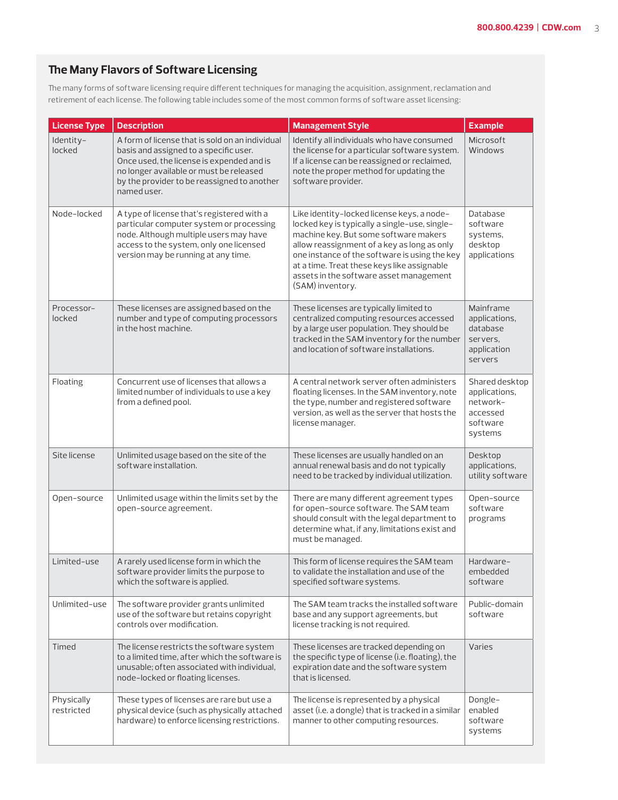### **The Many Flavors of Software Licensing**

The many forms of software licensing require different techniques for managing the acquisition, assignment, reclamation and retirement of each license. The following table includes some of the most common forms of software asset licensing:

| <b>License Type</b>      | <b>Description</b>                                                                                                                                                                                                                              | <b>Management Style</b>                                                                                                                                                                                                                                                                                                                            | <b>Example</b>                                                                 |
|--------------------------|-------------------------------------------------------------------------------------------------------------------------------------------------------------------------------------------------------------------------------------------------|----------------------------------------------------------------------------------------------------------------------------------------------------------------------------------------------------------------------------------------------------------------------------------------------------------------------------------------------------|--------------------------------------------------------------------------------|
| Identity-<br>locked      | A form of license that is sold on an individual<br>basis and assigned to a specific user.<br>Once used, the license is expended and is<br>no longer available or must be released<br>by the provider to be reassigned to another<br>named user. | Identify all individuals who have consumed<br>the license for a particular software system.<br>If a license can be reassigned or reclaimed,<br>note the proper method for updating the<br>software provider.                                                                                                                                       | Microsoft<br>Windows                                                           |
| Node-locked              | A type of license that's registered with a<br>particular computer system or processing<br>node. Although multiple users may have<br>access to the system, only one licensed<br>version may be running at any time.                              | Like identity-locked license keys, a node-<br>locked key is typically a single-use, single-<br>machine key. But some software makers<br>allow reassignment of a key as long as only<br>one instance of the software is using the key<br>at a time. Treat these keys like assignable<br>assets in the software asset management<br>(SAM) inventory. | Database<br>software<br>systems,<br>desktop<br>applications                    |
| Processor-<br>locked     | These licenses are assigned based on the<br>number and type of computing processors<br>in the host machine.                                                                                                                                     | These licenses are typically limited to<br>centralized computing resources accessed<br>by a large user population. They should be<br>tracked in the SAM inventory for the number<br>and location of software installations.                                                                                                                        | Mainframe<br>applications,<br>database<br>servers,<br>application<br>servers   |
| Floating                 | Concurrent use of licenses that allows a<br>limited number of individuals to use a key<br>from a defined pool.                                                                                                                                  | A central network server often administers<br>floating licenses. In the SAM inventory, note<br>the type, number and registered software<br>version, as well as the server that hosts the<br>license manager.                                                                                                                                       | Shared desktop<br>applications,<br>network-<br>accessed<br>software<br>systems |
| Site license             | Unlimited usage based on the site of the<br>software installation.                                                                                                                                                                              | These licenses are usually handled on an<br>annual renewal basis and do not typically<br>need to be tracked by individual utilization.                                                                                                                                                                                                             | Desktop<br>applications,<br>utility software                                   |
| Open-source              | Unlimited usage within the limits set by the<br>open-source agreement.                                                                                                                                                                          | There are many different agreement types<br>for open-source software. The SAM team<br>should consult with the legal department to<br>determine what, if any, limitations exist and<br>must be managed.                                                                                                                                             | Open-source<br>software<br>programs                                            |
| Limited-use              | A rarely used license form in which the<br>software provider limits the purpose to<br>which the software is applied.                                                                                                                            | This form of license requires the SAM team<br>to validate the installation and use of the<br>specified software systems.                                                                                                                                                                                                                           | Hardware-<br>embedded<br>software                                              |
| Unlimited-use            | The software provider grants unlimited<br>use of the software but retains copyright<br>controls over modification.                                                                                                                              | The SAM team tracks the installed software<br>base and any support agreements, but<br>license tracking is not required.                                                                                                                                                                                                                            | Public-domain<br>software                                                      |
| Timed                    | The license restricts the software system<br>to a limited time, after which the software is<br>unusable; often associated with individual,<br>node-locked or floating licenses.                                                                 | These licenses are tracked depending on<br>the specific type of license (i.e. floating), the<br>expiration date and the software system<br>that is licensed.                                                                                                                                                                                       | Varies                                                                         |
| Physically<br>restricted | These types of licenses are rare but use a<br>physical device (such as physically attached<br>hardware) to enforce licensing restrictions.                                                                                                      | The license is represented by a physical<br>asset (i.e. a dongle) that is tracked in a similar<br>manner to other computing resources.                                                                                                                                                                                                             | Dongle-<br>enabled<br>software<br>systems                                      |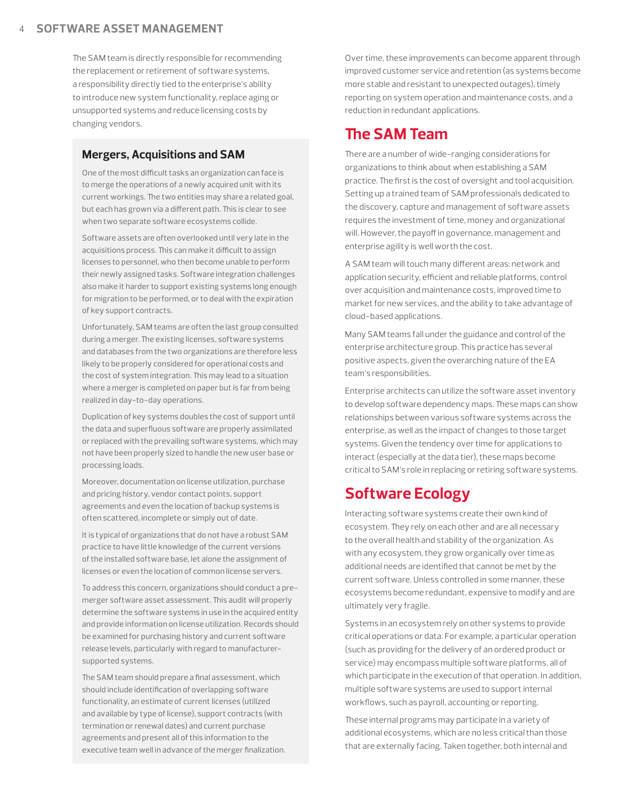#### 4 **SOFTWARE ASSET MANAGEMENT**

The SAM team is directly responsible for recommending the replacement or retirement of software systems, a responsibility directly tied to the enterprise's ability to introduce new system functionality, replace aging or unsupported systems and reduce licensing costs by changing vendors.

#### **Mergers, Acquisitions and SAM**

One of the most difficult tasks an organization can face is to merge the operations of a newly acquired unit with its current workings. The two entities may share a related goal, but each has grown via a different path. This is clear to see when two separate software ecosystems collide.

Software assets are often overlooked until very late in the acquisitions process. This can make it difficult to assign licenses to personnel, who then become unable to perform their newly assigned tasks. Software integration challenges also make it harder to support existing systems long enough for migration to be performed, or to deal with the expiration of key support contracts.

Unfortunately, SAM teams are often the last group consulted during a merger. The existing licenses, software systems and databases from the two organizations are therefore less likely to be properly considered for operational costs and the cost of system integration. This may lead to a situation where a merger is completed on paper but is far from being realized in day-to-day operations.

Duplication of key systems doubles the cost of support until the data and superfluous software are properly assimilated or replaced with the prevailing software systems, which may not have been properly sized to handle the new user base or processing loads.

Moreover, documentation on license utilization, purchase and pricing history, vendor contact points, support agreements and even the location of backup systems is often scattered, incomplete or simply out of date.

It is typical of organizations that do not have a robust SAM practice to have little knowledge of the current versions of the installed software base, let alone the assignment of licenses or even the location of common license servers.

To address this concern, organizations should conduct a premerger software asset assessment. This audit will properly determine the software systems in use in the acquired entity and provide information on license utilization. Records should be examined for purchasing history and current software release levels, particularly with regard to manufacturersupported systems.

The SAM team should prepare a final assessment, which should include identification of overlapping software functionality, an estimate of current licenses (utilized and available by type of license), support contracts (with termination or renewal dates) and current purchase agreements and present all of this information to the executive team well in advance of the merger finalization.

Over time, these improvements can become apparent through improved customer service and retention (as systems become more stable and resistant to unexpected outages), timely reporting on system operation and maintenance costs, and a reduction in redundant applications.

### **The SAM Team**

There are a number of wide-ranging considerations for organizations to think about when establishing a SAM practice. The first is the cost of oversight and tool acquisition. Setting up a trained team of SAM professionals dedicated to the discovery, capture and management of software assets requires the investment of time, money and organizational will. However, the payoff in governance, management and enterprise agility is well worth the cost.

A SAM team will touch many different areas: network and application security, efficient and reliable platforms, control over acquisition and maintenance costs, improved time to market for new services, and the ability to take advantage of cloud-based applications.

Many SAM teams fall under the guidance and control of the enterprise architecture group. This practice has several positive aspects, given the overarching nature of the EA team's responsibilities.

Enterprise architects can utilize the software asset inventory to develop software dependency maps. These maps can show relationships between various software systems across the enterprise, as well as the impact of changes to those target systems. Given the tendency over time for applications to interact (especially at the data tier), these maps become critical to SAM's role in replacing or retiring software systems.

## **Software Ecology**

Interacting software systems create their own kind of ecosystem. They rely on each other and are all necessary to the overall health and stability of the organization. As with any ecosystem, they grow organically over time as additional needs are identified that cannot be met by the current software. Unless controlled in some manner, these ecosystems become redundant, expensive to modify and are ultimately very fragile.

Systems in an ecosystem rely on other systems to provide critical operations or data. For example, a particular operation (such as providing for the delivery of an ordered product or service) may encompass multiple software platforms, all of which participate in the execution of that operation. In addition, multiple software systems are used to support internal workflows, such as payroll, accounting or reporting.

These internal programs may participate in a variety of additional ecosystems, which are no less critical than those that are externally facing. Taken together, both internal and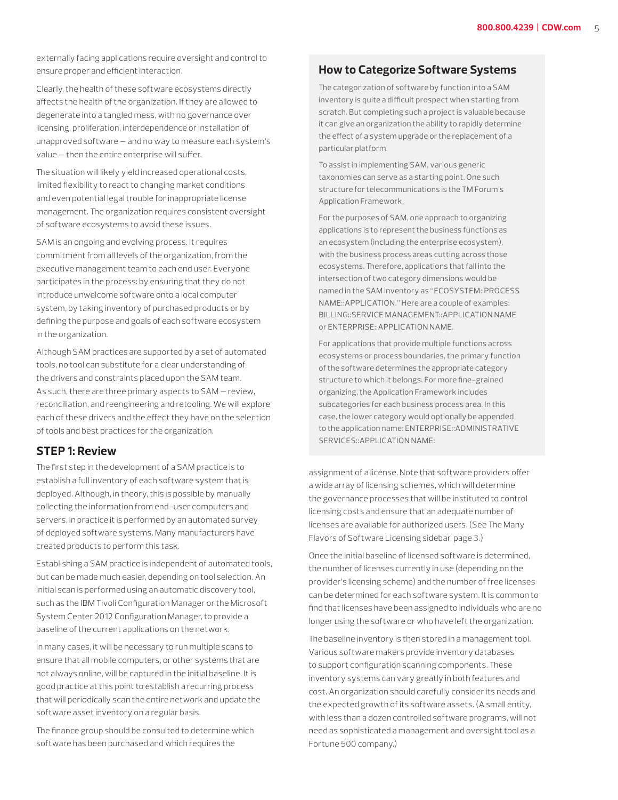externally facing applications require oversight and control to ensure proper and efficient interaction.

Clearly, the health of these software ecosystems directly affects the health of the organization. If they are allowed to degenerate into a tangled mess, with no governance over licensing, proliferation, interdependence or installation of unapproved software — and no way to measure each system's value — then the entire enterprise will suffer.

The situation will likely yield increased operational costs, limited flexibility to react to changing market conditions and even potential legal trouble for inappropriate license management. The organization requires consistent oversight of software ecosystems to avoid these issues.

SAM is an ongoing and evolving process. It requires commitment from all levels of the organization, from the executive management team to each end user. Everyone participates in the process: by ensuring that they do not introduce unwelcome software onto a local computer system, by taking inventory of purchased products or by defining the purpose and goals of each software ecosystem in the organization.

Although SAM practices are supported by a set of automated tools, no tool can substitute for a clear understanding of the drivers and constraints placed upon the SAM team. As such, there are three primary aspects to SAM — review, reconciliation, and reengineering and retooling. We will explore each of these drivers and the effect they have on the selection of tools and best practices for the organization.

#### **STEP 1: Review**

The first step in the development of a SAM practice is to establish a full inventory of each software system that is deployed. Although, in theory, this is possible by manually collecting the information from end-user computers and servers, in practice it is performed by an automated survey of deployed software systems. Many manufacturers have created products to perform this task.

Establishing a SAM practice is independent of automated tools, but can be made much easier, depending on tool selection. An initial scan is performed using an automatic discovery tool, such as the IBM Tivoli Configuration Manager or the Microsoft System Center 2012 Configuration Manager, to provide a baseline of the current applications on the network.

In many cases, it will be necessary to run multiple scans to ensure that all mobile computers, or other systems that are not always online, will be captured in the initial baseline. It is good practice at this point to establish a recurring process that will periodically scan the entire network and update the software asset inventory on a regular basis.

The finance group should be consulted to determine which software has been purchased and which requires the

#### **How to Categorize Software Systems**

The categorization of software by function into a SAM inventory is quite a difficult prospect when starting from scratch. But completing such a project is valuable because it can give an organization the ability to rapidly determine the effect of a system upgrade or the replacement of a particular platform.

To assist in implementing SAM, various generic taxonomies can serve as a starting point. One such structure for telecommunications is the TM Forum's Application Framework.

For the purposes of SAM, one approach to organizing applications is to represent the business functions as an ecosystem (including the enterprise ecosystem), with the business process areas cutting across those ecosystems. Therefore, applications that fall into the intersection of two category dimensions would be named in the SAM inventory as "ECOSYSTEM::PROCESS NAME::APPLICATION." Here are a couple of examples: BILLING::SERVICE MANAGEMENT::APPLICATION NAME or ENTERPRISE::APPLICATION NAME.

For applications that provide multiple functions across ecosystems or process boundaries, the primary function of the software determines the appropriate category structure to which it belongs. For more fine-grained organizing, the Application Framework includes subcategories for each business process area. In this case, the lower category would optionally be appended to the application name: ENTERPRISE::ADMINISTRATIVE SERVICES::APPLICATION NAME:

assignment of a license. Note that software providers offer a wide array of licensing schemes, which will determine the governance processes that will be instituted to control licensing costs and ensure that an adequate number of licenses are available for authorized users. (See The Many Flavors of Software Licensing sidebar, page 3.)

Once the initial baseline of licensed software is determined, the number of licenses currently in use (depending on the provider's licensing scheme) and the number of free licenses can be determined for each software system. It is common to find that licenses have been assigned to individuals who are no longer using the software or who have left the organization.

The baseline inventory is then stored in a management tool. Various software makers provide inventory databases to support configuration scanning components. These inventory systems can vary greatly in both features and cost. An organization should carefully consider its needs and the expected growth of its software assets. (A small entity, with less than a dozen controlled software programs, will not need as sophisticated a management and oversight tool as a Fortune 500 company.)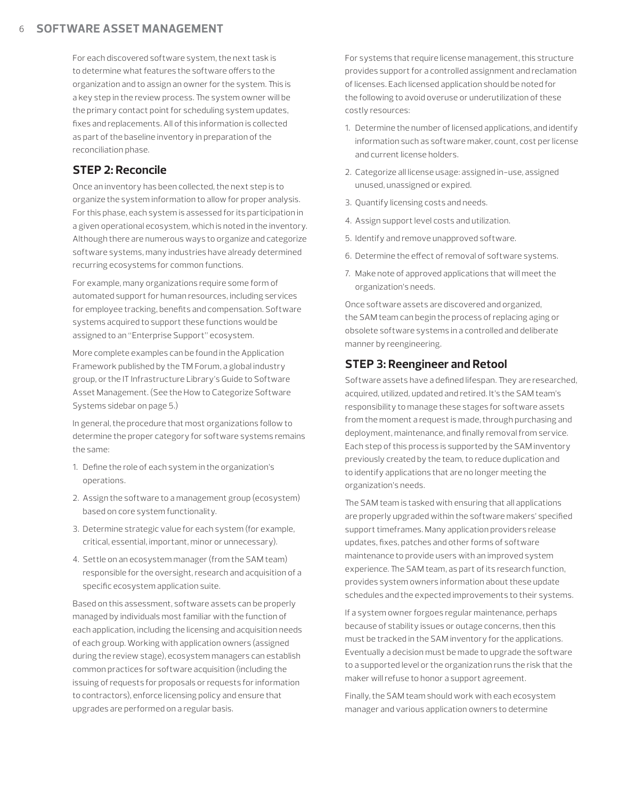For each discovered software system, the next task is to determine what features the software offers to the organization and to assign an owner for the system. This is a key step in the review process. The system owner will be the primary contact point for scheduling system updates, fixes and replacements. All of this information is collected as part of the baseline inventory in preparation of the reconciliation phase.

### **STEP 2: Reconcile**

Once an inventory has been collected, the next step is to organize the system information to allow for proper analysis. For this phase, each system is assessed for its participation in a given operational ecosystem, which is noted in the inventory. Although there are numerous ways to organize and categorize software systems, many industries have already determined recurring ecosystems for common functions.

For example, many organizations require some form of automated support for human resources, including services for employee tracking, benefits and compensation. Software systems acquired to support these functions would be assigned to an "Enterprise Support" ecosystem.

More complete examples can be found in the Application Framework published by the TM Forum, a global industry group, or the IT Infrastructure Library's Guide to Software Asset Management. (See the How to Categorize Software Systems sidebar on page 5.)

In general, the procedure that most organizations follow to determine the proper category for software systems remains the same:

- 1. Define the role of each system in the organization's operations.
- 2. Assign the software to a management group (ecosystem) based on core system functionality.
- 3. Determine strategic value for each system (for example, critical, essential, important, minor or unnecessary).
- 4. Settle on an ecosystem manager (from the SAM team) responsible for the oversight, research and acquisition of a specific ecosystem application suite.

Based on this assessment, software assets can be properly managed by individuals most familiar with the function of each application, including the licensing and acquisition needs of each group. Working with application owners (assigned during the review stage), ecosystem managers can establish common practices for software acquisition (including the issuing of requests for proposals or requests for information to contractors), enforce licensing policy and ensure that upgrades are performed on a regular basis.

For systems that require license management, this structure provides support for a controlled assignment and reclamation of licenses. Each licensed application should be noted for the following to avoid overuse or underutilization of these costly resources:

- 1. Determine the number of licensed applications, and identify information such as software maker, count, cost per license and current license holders.
- 2. Categorize all license usage: assigned in-use, assigned unused, unassigned or expired.
- 3. Quantify licensing costs and needs.
- 4. Assign support level costs and utilization.
- 5. Identify and remove unapproved software.
- 6. Determine the effect of removal of software systems.
- 7. Make note of approved applications that will meet the organization's needs.

Once software assets are discovered and organized, the SAM team can begin the process of replacing aging or obsolete software systems in a controlled and deliberate manner by reengineering.

#### **STEP 3: Reengineer and Retool**

Software assets have a defined lifespan. They are researched, acquired, utilized, updated and retired. It's the SAM team's responsibility to manage these stages for software assets from the moment a request is made, through purchasing and deployment, maintenance, and finally removal from service. Each step of this process is supported by the SAM inventory previously created by the team, to reduce duplication and to identify applications that are no longer meeting the organization's needs.

The SAM team is tasked with ensuring that all applications are properly upgraded within the software makers' specified support timeframes. Many application providers release updates, fixes, patches and other forms of software maintenance to provide users with an improved system experience. The SAM team, as part of its research function, provides system owners information about these update schedules and the expected improvements to their systems.

If a system owner forgoes regular maintenance, perhaps because of stability issues or outage concerns, then this must be tracked in the SAM inventory for the applications. Eventually a decision must be made to upgrade the software to a supported level or the organization runs the risk that the maker will refuse to honor a support agreement.

Finally, the SAM team should work with each ecosystem manager and various application owners to determine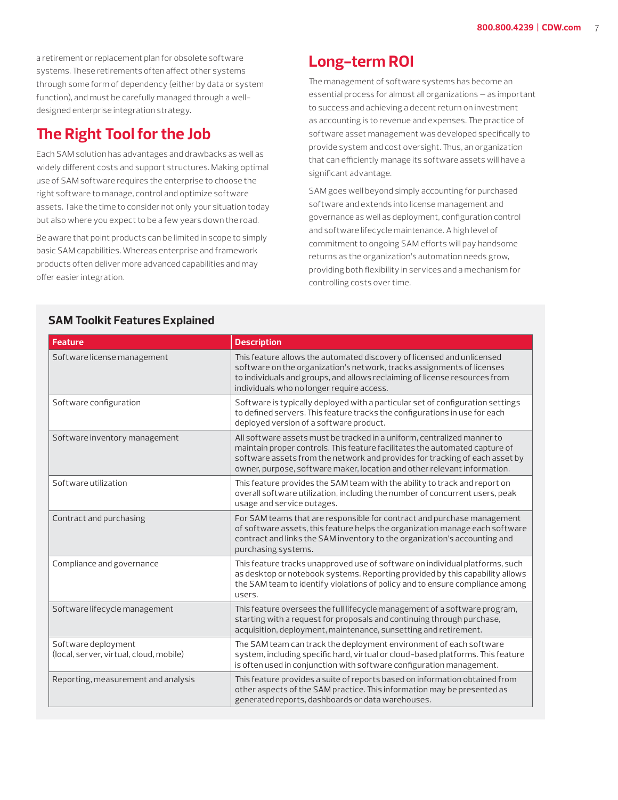a retirement or replacement plan for obsolete software systems. These retirements often affect other systems through some form of dependency (either by data or system function), and must be carefully managed through a welldesigned enterprise integration strategy.

# **The Right Tool for the Job**

Each SAM solution has advantages and drawbacks as well as widely different costs and support structures. Making optimal use of SAM software requires the enterprise to choose the right software to manage, control and optimize software assets. Take the time to consider not only your situation today but also where you expect to be a few years down the road.

Be aware that point products can be limited in scope to simply basic SAM capabilities. Whereas enterprise and framework products often deliver more advanced capabilities and may offer easier integration.

# **Long-term ROI**

The management of software systems has become an essential process for almost all organizations — as important to success and achieving a decent return on investment as accounting is to revenue and expenses. The practice of software asset management was developed specifically to provide system and cost oversight. Thus, an organization that can efficiently manage its software assets will have a significant advantage.

SAM goes well beyond simply accounting for purchased software and extends into license management and governance as well as deployment, configuration control and software lifecycle maintenance. A high level of commitment to ongoing SAM efforts will pay handsome returns as the organization's automation needs grow, providing both flexibility in services and a mechanism for controlling costs over time.

| <b>Feature</b>                                                 | <b>Description</b>                                                                                                                                                                                                                                                                                                |  |
|----------------------------------------------------------------|-------------------------------------------------------------------------------------------------------------------------------------------------------------------------------------------------------------------------------------------------------------------------------------------------------------------|--|
| Software license management                                    | This feature allows the automated discovery of licensed and unlicensed<br>software on the organization's network, tracks assignments of licenses<br>to individuals and groups, and allows reclaiming of license resources from<br>individuals who no longer require access.                                       |  |
| Software configuration                                         | Software is typically deployed with a particular set of configuration settings<br>to defined servers. This feature tracks the configurations in use for each<br>deployed version of a software product.                                                                                                           |  |
| Software inventory management                                  | All software assets must be tracked in a uniform, centralized manner to<br>maintain proper controls. This feature facilitates the automated capture of<br>software assets from the network and provides for tracking of each asset by<br>owner, purpose, software maker, location and other relevant information. |  |
| Software utilization                                           | This feature provides the SAM team with the ability to track and report on<br>overall software utilization, including the number of concurrent users, peak<br>usage and service outages.                                                                                                                          |  |
| Contract and purchasing                                        | For SAM teams that are responsible for contract and purchase management<br>of software assets, this feature helps the organization manage each software<br>contract and links the SAM inventory to the organization's accounting and<br>purchasing systems.                                                       |  |
| Compliance and governance                                      | This feature tracks unapproved use of software on individual platforms, such<br>as desktop or notebook systems. Reporting provided by this capability allows<br>the SAM team to identify violations of policy and to ensure compliance among<br>users.                                                            |  |
| Software lifecycle management                                  | This feature oversees the full lifecycle management of a software program,<br>starting with a request for proposals and continuing through purchase,<br>acquisition, deployment, maintenance, sunsetting and retirement.                                                                                          |  |
| Software deployment<br>(local, server, virtual, cloud, mobile) | The SAM team can track the deployment environment of each software<br>system, including specific hard, virtual or cloud-based platforms. This feature<br>is often used in conjunction with software configuration management.                                                                                     |  |
| Reporting, measurement and analysis                            | This feature provides a suite of reports based on information obtained from<br>other aspects of the SAM practice. This information may be presented as<br>generated reports, dashboards or data warehouses.                                                                                                       |  |

#### **SAM Toolkit Features Explained**